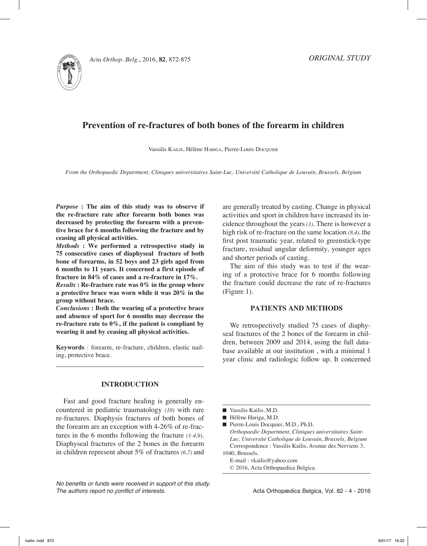

# **Prevention of re-fractures of both bones of the forearm in children**

Vassilis KAILIS, Hélène HARIGA, Pierre-Louis Docquier

*From the Orthopaedic Department, Cliniques universitaires Saint-Luc, Université Catholique de Louvain, Brussels, Belgium*

*Purpose* **: The aim of this study was to observe if the re-fracture rate after forearm both bones was decreased by protecting the forearm with a preventive brace for 6 months following the fracture and by ceasing all physical activities.**

*Methods* **: We performed a retrospective study in 75 consecutive cases of diaphyseal fracture of both bone of forearms, in 52 boys and 23 girls aged from 6 months to 11 years. It concerned a first episode of fracture in 84% of cases and a re-fracture in 17%.**

*Results* **: Re-fracture rate was 0% in the group where a protective brace was worn while it was 20% in the group without brace.**

*Conclusions* **: Both the wearing of a protective brace and absence of sport for 6 months may decrease the re-fracture rate to 0%, if the patient is compliant by wearing it and by ceasing all physical activities.** 

**Keywords** : forearm, re-fracture, children, elastic nailing, protective brace.

### **INTRODUCTION**

Fast and good fracture healing is generally encountered in pediatric traumatology *(10)* with rare re-fractures. Diaphysis fractures of both bones of the forearm are an exception with 4-26% of re-fractures in the 6 months following the fracture *(1-4,9)*. Diaphyseal fractures of the 2 bones in the forearm in children represent about 5% of fractures *(6,7)* and

*No benefits or funds were received in support of this study. The authors report no conflict of interests.* 

are generally treated by casting. Change in physical activities and sport in children have increased its incidence throughout the years *(3)*. There is however a high risk of re-fracture on the same location *(8,4),* the first post traumatic year, related to greenstick-type fracture, residual angular deformity, younger ages and shorter periods of casting.

The aim of this study was to test if the wearing of a protective brace for 6 months following the fracture could decrease the rate of re-fractures (Figure 1).

### **PATIENTS AND METHODS**

We retrospectively studied 75 cases of diaphyseal fractures of the 2 bones of the forearm in children, between 2009 and 2014, using the full database available at our institution , with a minimal 1 year clinic and radiologic follow up. It concerned

E-mail : vkailis@yahoo.com © 2016, Acta Orthopaedica Belgica.

Acta Orthopædica Belgica, Vol. 82 - 4 - 2016

 $\blacksquare$  Vassilis Kailis, M.D.

 $\blacksquare$  Hélène Hariga, M.D.

<sup>■</sup> Pierre-Louis Docquier, M.D., Ph.D. *Orthopaedic Department, Cliniques universitaires Saint-Luc, Université Catholique de Louvain, Brussels, Belgium* Correspondence : Vassilis Kailis, Avenue des Nerviens 3, 1040, Brussels.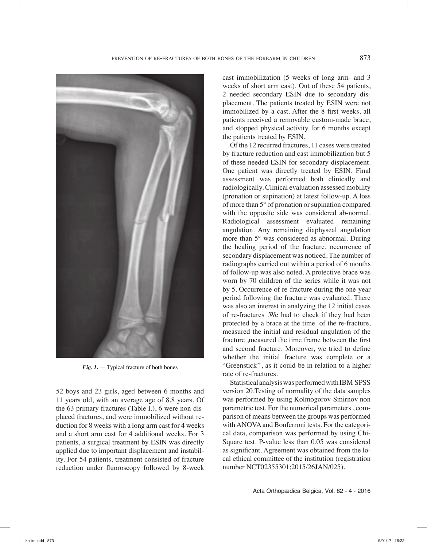

*Fig. 1.* — Typical fracture of both bones

52 boys and 23 girls, aged between 6 months and 11 years old, with an average age of 8.8 years. Of the 63 primary fractures (Table I.), 6 were non-displaced fractures, and were immobilized without reduction for 8 weeks with a long arm cast for 4 weeks and a short arm cast for 4 additional weeks. For 3 patients, a surgical treatment by ESIN was directly applied due to important displacement and instability. For 54 patients, treatment consisted of fracture reduction under fluoroscopy followed by 8-week

cast immobilization (5 weeks of long arm- and 3 weeks of short arm cast). Out of these 54 patients, 2 needed secondary ESIN due to secondary displacement. The patients treated by ESIN were not immobilized by a cast. After the 8 first weeks, all patients received a removable custom-made brace, and stopped physical activity for 6 months except the patients treated by ESIN.

Of the 12 recurred fractures, 11 cases were treated by fracture reduction and cast immobilization but 5 of these needed ESIN for secondary displacement. One patient was directly treated by ESIN. Final assessment was performed both clinically and radiologically. Clinical evaluation assessed mobility (pronation or supination) at latest follow-up. A loss of more than 5° of pronation or supination compared with the opposite side was considered ab-normal. Radiological assessment evaluated remaining angulation. Any remaining diaphyseal angulation more than 5° was considered as abnormal. During the healing period of the fracture, occurrence of secondary displacement was noticed. The number of radiographs carried out within a period of 6 months of follow-up was also noted. A protective brace was worn by 70 children of the series while it was not by 5. Occurrence of re-fracture during the one-year period following the fracture was evaluated. There was also an interest in analyzing the 12 initial cases of re-fractures .We had to check if they had been protected by a brace at the time of the re-fracture, measured the initial and residual angulation of the fracture ,measured the time frame between the first and second fracture. Moreover, we tried to define whether the initial fracture was complete or a "Greenstick'', as it could be in relation to a higher rate of re-fractures.

Statistical analysis was performed with IBM SPSS version 20.Testing of normality of the data samples was performed by using Kolmogorov-Smirnov non parametric test. For the numerical parameters , comparison of means between the groups was performed with ANOVA and Bonferroni tests. For the categorical data, comparison was performed by using Chi-Square test. P-value less than 0.05 was considered as significant. Agreement was obtained from the local ethical committee of the institution (registration number NCT02355301;2015/26JAN/025).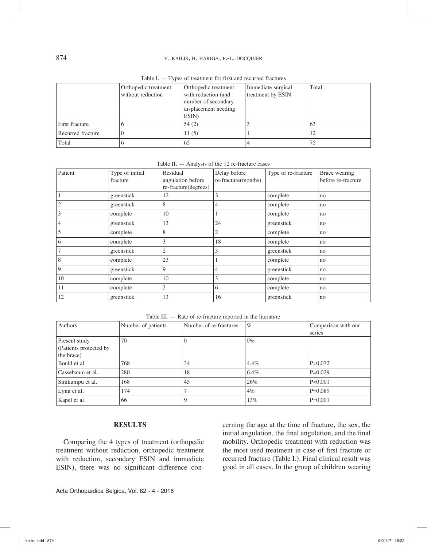## 874 v. KAILIS, H. HARIGA, P.-L. DOCQUIER

|                   | Orthopedic treatment<br>without reduction | Orthopedic treatment<br>with reduction (and<br>number of secondary<br>displacement needing<br>ESIN) | Immediate surgical<br>treatment by ESIN | Total |
|-------------------|-------------------------------------------|-----------------------------------------------------------------------------------------------------|-----------------------------------------|-------|
| First fracture    |                                           | 54(2)                                                                                               |                                         | 63    |
| Recurred fracture |                                           | 11(5)                                                                                               |                                         |       |
| Total             |                                           | 65                                                                                                  |                                         |       |

Table I. — Types of treatment for first and recurred fractures

| Table II. $-$ Analysis of the 12 re-fracture cases |  |  |  |
|----------------------------------------------------|--|--|--|
|----------------------------------------------------|--|--|--|

| Patient        | Type of initial<br>fracture | Residual<br>angulation before<br>re-fracture(degrees) | Delay before<br>re-fracture(months) | Type of re-fracture | Brace wearing<br>before re-fracture |
|----------------|-----------------------------|-------------------------------------------------------|-------------------------------------|---------------------|-------------------------------------|
|                | greenstick                  | 12                                                    | 3                                   | complete            | no                                  |
| $\overline{2}$ | greenstick                  | 8                                                     | 4                                   | complete            | no                                  |
| 3              | complete                    | 10                                                    |                                     | complete            | no                                  |
| 4              | greenstick                  | 13                                                    | 24                                  | greenstick          | no                                  |
| 5              | complete                    | 8                                                     | 2                                   | complete            | no                                  |
| 6              | complete                    | 3                                                     | 18                                  | complete            | no                                  |
| $\overline{7}$ | greenstick                  | $\mathfrak{2}$                                        | 3                                   | greenstick          | no                                  |
| 8              | complete                    | 23                                                    |                                     | complete            | no                                  |
| 9              | greenstick                  | 9                                                     | 4                                   | greenstick          | no                                  |
| 10             | complete                    | 10                                                    | 3                                   | complete            | no                                  |
| 11             | complete                    | $\mathfrak{2}$                                        | 6                                   | complete            | no                                  |
| 12             | greenstick                  | 13                                                    | 16                                  | greenstick          | no                                  |

Table III. — Rate of re-fracture reported in the literature

| Authors                 | Number of patients | Number of re-fractures | $\%$  | Comparison with our |
|-------------------------|--------------------|------------------------|-------|---------------------|
|                         |                    |                        |       | series              |
| Present study           | 70                 | $\Omega$               | $0\%$ |                     |
| (Patients protected by) |                    |                        |       |                     |
| the brace)              |                    |                        |       |                     |
| Bould et al.            | 768                | 34                     | 4.4%  | $P=0.072$           |
| Cassebaum et al.        | 280                | 18                     | 6.4%  | $P=0.029$           |
| Sinikumpu et al.        | 168                | 45                     | 26%   | P < 0.001           |
| Lynn et al.             | 174                |                        | $4\%$ | $P=0.089$           |
| Kapel et al.            | 66                 | 9                      | 13%   | $P=0.001$           |

### **RESULTS**

Comparing the 4 types of treatment (orthopedic treatment without reduction, orthopedic treatment with reduction, secondary ESIN and immediate ESIN), there was no significant difference concerning the age at the time of fracture, the sex, the initial angulation, the final angulation, and the final mobility. Orthopedic treatment with reduction was the most used treatment in case of first fracture or recurred fracture (Table I.). Final clinical result was good in all cases. In the group of children wearing

Acta Orthopædica Belgica, Vol. 82 - 4 - 2016